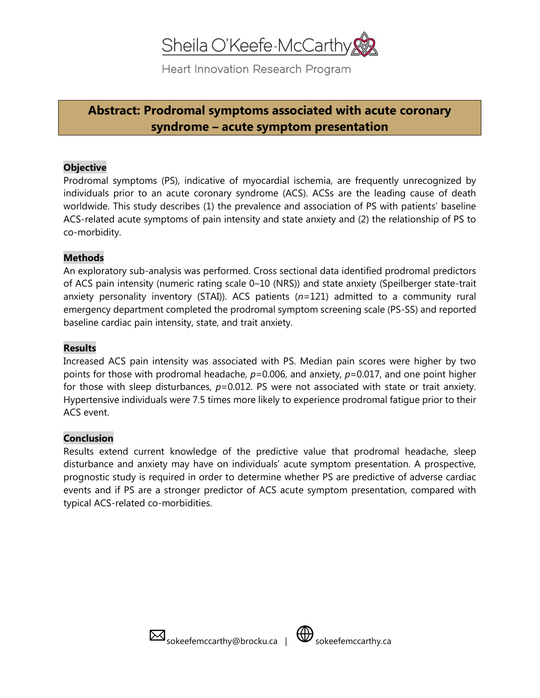# Sheila O'Keefe-McCarthy

Heart Innovation Research Program

# **Abstract: Prodromal symptoms associated with acute coronary syndrome – acute symptom presentation**

### **Objective**

Prodromal symptoms (PS), indicative of myocardial ischemia, are frequently unrecognized by individuals prior to an acute coronary syndrome (ACS). ACSs are the leading cause of death worldwide. This study describes (1) the prevalence and association of PS with patients' baseline ACS-related acute symptoms of pain intensity and state anxiety and (2) the relationship of PS to co-morbidity.

#### **Methods**

An exploratory sub-analysis was performed. Cross sectional data identified prodromal predictors of ACS pain intensity (numeric rating scale 0–10 (NRS)) and state anxiety (Speilberger state-trait anxiety personality inventory (STAI)). ACS patients (*n*=121) admitted to a community rural emergency department completed the prodromal symptom screening scale (PS-SS) and reported baseline cardiac pain intensity, state, and trait anxiety.

### **Results**

Increased ACS pain intensity was associated with PS. Median pain scores were higher by two points for those with prodromal headache, *p*=0.006, and anxiety, *p*=0.017, and one point higher for those with sleep disturbances, *p*=0.012. PS were not associated with state or trait anxiety. Hypertensive individuals were 7.5 times more likely to experience prodromal fatigue prior to their ACS event.

## **Conclusion**

Results extend current knowledge of the predictive value that prodromal headache, sleep disturbance and anxiety may have on individuals' acute symptom presentation. A prospective, prognostic study is required in order to determine whether PS are predictive of adverse cardiac events and if PS are a stronger predictor of ACS acute symptom presentation, compared with typical ACS-related co-morbidities.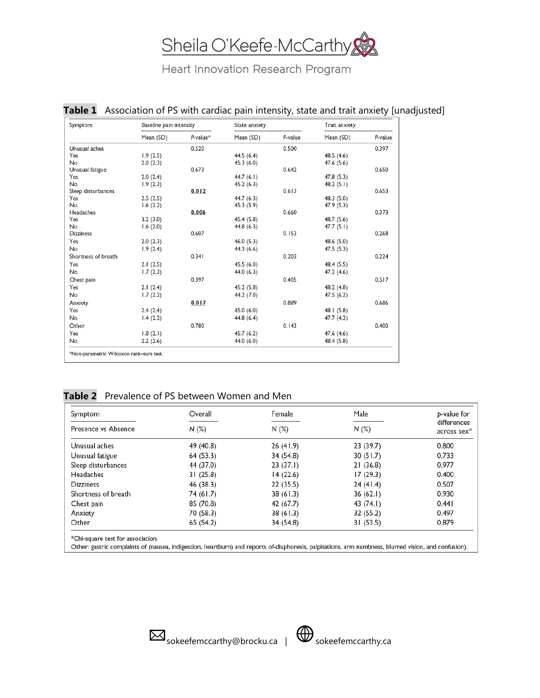# Sheila O'Keefe-McCarthy

Heart Innovation Research Program

## Table 1 Association of PS with cardiac pain intensity, state and trait anxiety [unadjusted]

| Symptom                                 | Baseline pain intensity |             | State anxiety |         | Trait anxiety |         |
|-----------------------------------------|-------------------------|-------------|---------------|---------|---------------|---------|
|                                         | Mean (SD)               | $P$ -value* | Mean (SD)     | P-value | Mean (SD)     | P-value |
| Unusual aches                           |                         | 0.520       |               | 0.500   |               | 0.397   |
| Yes                                     | 1.9(2.5)                |             | 44.5 (6.4)    |         | 48.5 (4.6)    |         |
| No                                      | 2.0(2.3)                |             | 45.3(6.0)     |         | 47.6 (5.6)    |         |
| Unusual fatigue                         |                         | 0.673       |               | 0.642   |               | 0.650   |
| Yes                                     | 2.0(2.4)                |             | 44.7 $(6.1)$  |         | 47.8 (5.3)    |         |
| No                                      | 1.9(2.3)                |             | 45.2 (6.3)    |         | 48.2(5.1)     |         |
| Sleep disturbances                      |                         | 0.012       |               | 0.613   |               | 0.653   |
| Yes                                     | 2.5(2.5)                |             | 44.7 (6.3)    |         | 48.3 (5.0)    |         |
| No                                      | 1.6(2.2)                |             | 45.3 (5.9)    |         | 47.9 (5.3)    |         |
| Headaches                               |                         | 0.006       |               | 0.660   |               | 0.373   |
| Yes                                     | 3.2(3.0)                |             | 45.4 (5.8)    |         | 48.7 (5.6)    |         |
| <b>No</b>                               | 1.6(2.0)                |             | 44.8 (6.3)    |         | 47.7(5.1)     |         |
| <b>Dizziness</b>                        |                         | 0.607       |               | 0.153   |               | 0.268   |
| Yes                                     | 2.0(2.3)                |             | 46.0(5.3)     |         | 48.6 (5.0)    |         |
| No                                      | 1.9(2.4)                |             | 44.3 (6.6)    |         | 47.5 (5.3)    |         |
| Shortness of breath                     |                         | 0.341       |               | 0.203   |               | 0.224   |
| Yes                                     | 2.1(2.5)                |             | 45.5 (6.0)    |         | 48.4 (5.5)    |         |
| No                                      | 1.7(2.3)                |             | 44.0 (6.3)    |         | 47.2 (4.6)    |         |
| Chest pain                              |                         | 0.397       |               | 0.405   |               | 0.517   |
| Yes                                     | 2.1(2.4)                |             | 45.2 (5.8)    |         | 48.2 (4.8)    |         |
| No                                      | 1.7(2.2)                |             | 44.2 (7.0)    |         | 47.5(6.2)     |         |
| Anxiety                                 |                         | 0.017       |               | 0.889   |               | 0.686   |
| Yes                                     | 2.4(2.4)                |             | 45.0 (6.0)    |         | 48.1 (5.8)    |         |
| No                                      | 1.4(2.2)                |             | 44.8 (6.4)    |         | 47.7 (4.2)    |         |
| Other                                   |                         | 0.780       |               | 0.143   |               | 0.400   |
| Yes                                     | 1.8(2.1)                |             | 45.7 (6.2)    |         | 47.6 (4.6)    |         |
| No                                      | 2.2(2.6)                |             | 44.0 (6.0)    |         | 48.4 (5.8)    |         |
|                                         |                         |             |               |         |               |         |
| *Non-parametric Wilcoxon rank-sum test. |                         |             |               |         |               |         |

## **Table 2** Prevalence of PS between Women and Men

| Symptom             | Overall   | Female    | Male      | b-value for                |  |
|---------------------|-----------|-----------|-----------|----------------------------|--|
| Presence vs Absence | N(%)      | N(%)      | $N$ (%)   | differences<br>across sex* |  |
| Unusual aches       | 49 (40.8) | 26(41.9)  | 23 (39.7) | 0.800                      |  |
| Unusual fatigue     | 64 (53.3) | 34 (54.8) | 30(51.7)  | 0.733                      |  |
| Sleep disturbances  | 44 (37.0) | 23(37.1)  | 21(36.8)  | 0.977                      |  |
| Headaches           | 31(25.8)  | 14 (22.6) | 17(29.3)  | 0.400                      |  |
| <b>Dizziness</b>    | 46 (38.3) | 22(35.5)  | 24(41.4)  | 0.507                      |  |
| Shortness of breath | 74 (61.7) | 38(61.3)  | 36(62.1)  | 0.930                      |  |
| Chest pain          | 85 (70.8) | 42 (67.7) | 43 (74.1) | 0.441                      |  |
| Anxiety             | 70 (58.3) | 38(61.3)  | 32 (55.2) | 0.497                      |  |
| Other               | 65 (54.2) | 34 (54.8) | 31 (53.5) | 0.879                      |  |

Other: gastric complaints of (nausea, indigestion, heartburn) and reports of-diaphoresis, palpitations, arm numbness, blurred vision, and confusion).